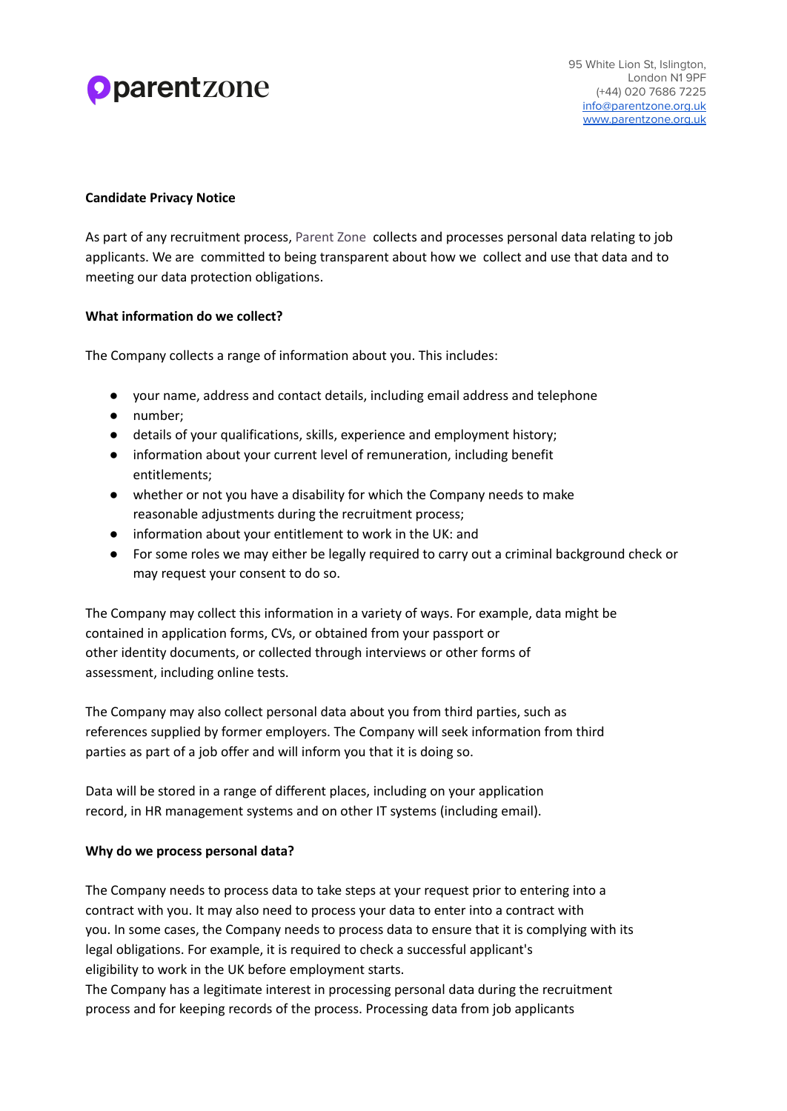# **Oparentzone**

## **Candidate Privacy Notice**

As part of any recruitment process, Parent Zone collects and processes personal data relating to job applicants. We are committed to being transparent about how we collect and use that data and to meeting our data protection obligations.

## **What information do we collect?**

The Company collects a range of information about you. This includes:

- your name, address and contact details, including email address and telephone
- number;
- details of your qualifications, skills, experience and employment history;
- information about your current level of remuneration, including benefit entitlements;
- whether or not you have a disability for which the Company needs to make reasonable adjustments during the recruitment process;
- information about your entitlement to work in the UK: and
- For some roles we may either be legally required to carry out a criminal background check or may request your consent to do so.

The Company may collect this information in a variety of ways. For example, data might be contained in application forms, CVs, or obtained from your passport or other identity documents, or collected through interviews or other forms of assessment, including online tests.

The Company may also collect personal data about you from third parties, such as references supplied by former employers. The Company will seek information from third parties as part of a job offer and will inform you that it is doing so.

Data will be stored in a range of different places, including on your application record, in HR management systems and on other IT systems (including email).

#### **Why do we process personal data?**

The Company needs to process data to take steps at your request prior to entering into a contract with you. It may also need to process your data to enter into a contract with you. In some cases, the Company needs to process data to ensure that it is complying with its legal obligations. For example, it is required to check a successful applicant's eligibility to work in the UK before employment starts.

The Company has a legitimate interest in processing personal data during the recruitment process and for keeping records of the process. Processing data from job applicants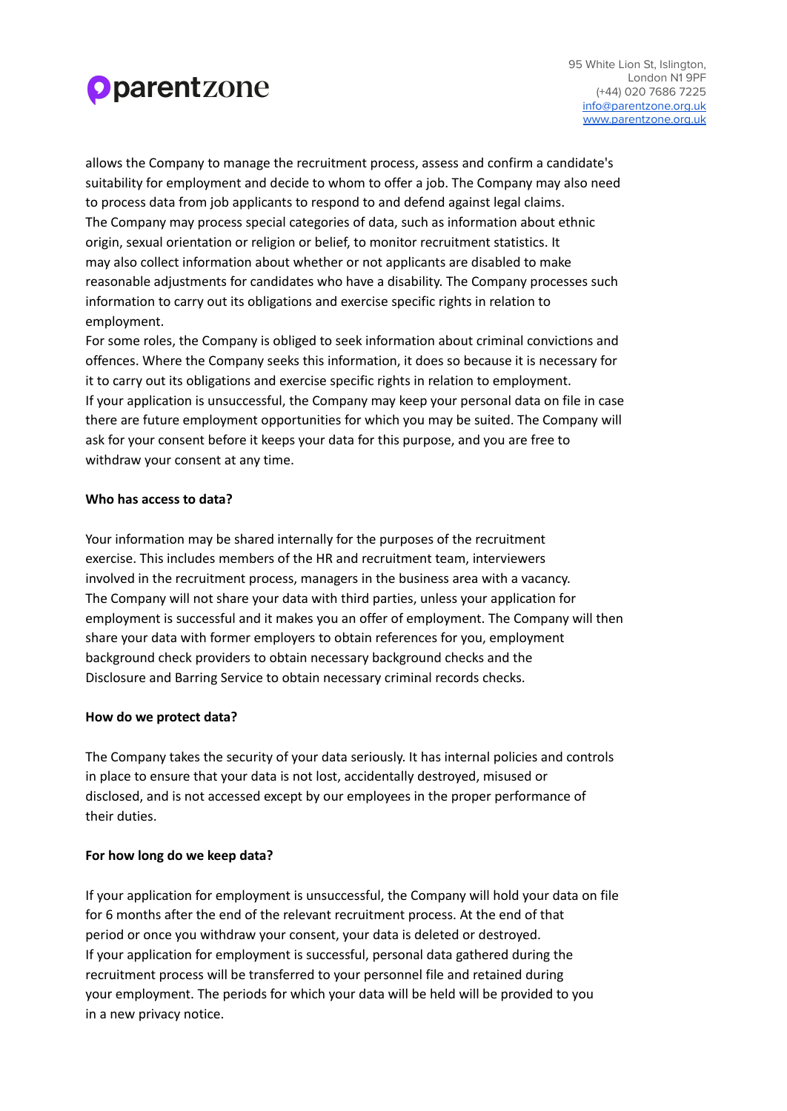

allows the Company to manage the recruitment process, assess and confirm a candidate's suitability for employment and decide to whom to offer a job. The Company may also need to process data from job applicants to respond to and defend against legal claims. The Company may process special categories of data, such as information about ethnic origin, sexual orientation or religion or belief, to monitor recruitment statistics. It may also collect information about whether or not applicants are disabled to make reasonable adjustments for candidates who have a disability. The Company processes such information to carry out its obligations and exercise specific rights in relation to employment.

For some roles, the Company is obliged to seek information about criminal convictions and offences. Where the Company seeks this information, it does so because it is necessary for it to carry out its obligations and exercise specific rights in relation to employment. If your application is unsuccessful, the Company may keep your personal data on file in case there are future employment opportunities for which you may be suited. The Company will ask for your consent before it keeps your data for this purpose, and you are free to withdraw your consent at any time.

#### **Who has access to data?**

Your information may be shared internally for the purposes of the recruitment exercise. This includes members of the HR and recruitment team, interviewers involved in the recruitment process, managers in the business area with a vacancy. The Company will not share your data with third parties, unless your application for employment is successful and it makes you an offer of employment. The Company will then share your data with former employers to obtain references for you, employment background check providers to obtain necessary background checks and the Disclosure and Barring Service to obtain necessary criminal records checks.

#### **How do we protect data?**

The Company takes the security of your data seriously. It has internal policies and controls in place to ensure that your data is not lost, accidentally destroyed, misused or disclosed, and is not accessed except by our employees in the proper performance of their duties.

#### **For how long do we keep data?**

If your application for employment is unsuccessful, the Company will hold your data on file for 6 months after the end of the relevant recruitment process. At the end of that period or once you withdraw your consent, your data is deleted or destroyed. If your application for employment is successful, personal data gathered during the recruitment process will be transferred to your personnel file and retained during your employment. The periods for which your data will be held will be provided to you in a new privacy notice.